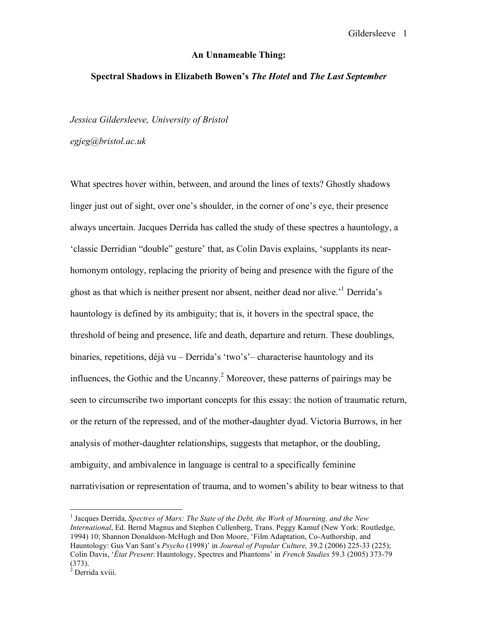## Gildersleeve 1

## **An Unnameable Thing:**

## **Spectral Shadows in Elizabeth Bowen's** *The Hotel* **and** *The Last September*

*Jessica Gildersleeve, University of Bristol*

*egjeg@bristol.ac.uk*

What spectres hover within, between, and around the lines of texts? Ghostly shadows linger just out of sight, over one's shoulder, in the corner of one's eye, their presence always uncertain. Jacques Derrida has called the study of these spectres a hauntology, a 'classic Derridian "double" gesture' that, as Colin Davis explains, 'supplants its nearhomonym ontology, replacing the priority of being and presence with the figure of the ghost as that which is neither present nor absent, neither dead nor alive.<sup>1</sup> Derrida's hauntology is defined by its ambiguity; that is, it hovers in the spectral space, the threshold of being and presence, life and death, departure and return. These doublings, binaries, repetitions, déjà vu – Derrida's 'two's'– characterise hauntology and its influences, the Gothic and the Uncanny. <sup>2</sup> Moreover, these patterns of pairings may be seen to circumscribe two important concepts for this essay: the notion of traumatic return, or the return of the repressed, and of the mother-daughter dyad. Victoria Burrows, in her analysis of mother-daughter relationships, suggests that metaphor, or the doubling, ambiguity, and ambivalence in language is central to a specifically feminine narrativisation or representation of trauma, and to women's ability to bear witness to that

 <sup>1</sup> Jacques Derrida, *Spectres of Marx: The State of the Debt, the Work of Mourning, and the New International*, Ed. Bernd Magnus and Stephen Cullenberg, Trans. Peggy Kamuf (New York: Routledge, 1994) 10; Shannon Donaldson-McHugh and Don Moore, 'Film Adaptation, Co-Authorship, and Hauntology: Gus Van Sant's *Psycho* (1998)' in *Journal of Popular Culture,* 39.2 (2006) 225-33 (225); Colin Davis, '*État Present*: Hauntology, Spectres and Phantoms' in *French Studies* 59.3 (2005) 373-79  $^{(373)}$ .<br><sup>2</sup> Derrida xviii.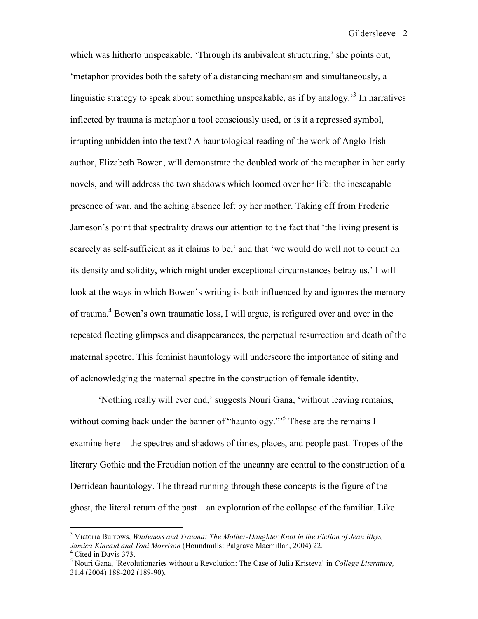which was hitherto unspeakable. 'Through its ambivalent structuring,' she points out, 'metaphor provides both the safety of a distancing mechanism and simultaneously, a linguistic strategy to speak about something unspeakable, as if by analogy.<sup>3</sup> In narratives inflected by trauma is metaphor a tool consciously used, or is it a repressed symbol, irrupting unbidden into the text? A hauntological reading of the work of Anglo-Irish author, Elizabeth Bowen, will demonstrate the doubled work of the metaphor in her early novels, and will address the two shadows which loomed over her life: the inescapable presence of war, and the aching absence left by her mother. Taking off from Frederic Jameson's point that spectrality draws our attention to the fact that 'the living present is scarcely as self-sufficient as it claims to be,' and that 'we would do well not to count on its density and solidity, which might under exceptional circumstances betray us,' I will look at the ways in which Bowen's writing is both influenced by and ignores the memory of trauma.<sup>4</sup> Bowen's own traumatic loss, I will argue, is refigured over and over in the repeated fleeting glimpses and disappearances, the perpetual resurrection and death of the maternal spectre. This feminist hauntology will underscore the importance of siting and of acknowledging the maternal spectre in the construction of female identity.

'Nothing really will ever end,' suggests Nouri Gana, 'without leaving remains, without coming back under the banner of "hauntology."<sup>5</sup> These are the remains I examine here – the spectres and shadows of times, places, and people past. Tropes of the literary Gothic and the Freudian notion of the uncanny are central to the construction of a Derridean hauntology. The thread running through these concepts is the figure of the ghost, the literal return of the past – an exploration of the collapse of the familiar. Like

 <sup>3</sup> Victoria Burrows, *Whiteness and Trauma: The Mother-Daughter Knot in the Fiction of Jean Rhys,* Jamica Kincaid and Toni Morrison (Houndmills: Palgrave Macmillan, 2004) 22.<br><sup>4</sup> Cited in Davis 373.<br><sup>5</sup> Nouri Gana, 'Revolutionaries without a Revolution: The Case of Julia Kristeva' in *College Literature*,

<sup>31.4</sup> (2004) 188-202 (189-90).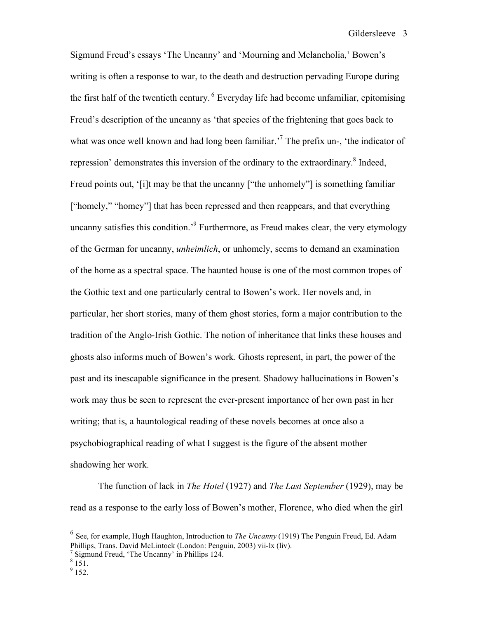Sigmund Freud's essays 'The Uncanny' and 'Mourning and Melancholia,' Bowen's writing is often a response to war, to the death and destruction pervading Europe during the first half of the twentieth century. <sup>6</sup> Everyday life had become unfamiliar, epitomising Freud's description of the uncanny as 'that species of the frightening that goes back to what was once well known and had long been familiar.<sup>7</sup> The prefix un-, 'the indicator of repression' demonstrates this inversion of the ordinary to the extraordinary.<sup>8</sup> Indeed, Freud points out, '[i]t may be that the uncanny ["the unhomely"] is something familiar ["homely," "homey"] that has been repressed and then reappears, and that everything uncanny satisfies this condition.<sup>9</sup> Furthermore, as Freud makes clear, the very etymology of the German for uncanny, *unheimlich*, or unhomely, seems to demand an examination of the home as a spectral space. The haunted house is one of the most common tropes of the Gothic text and one particularly central to Bowen's work. Her novels and, in particular, her short stories, many of them ghost stories, form a major contribution to the tradition of the Anglo-Irish Gothic. The notion of inheritance that links these houses and ghosts also informs much of Bowen's work. Ghosts represent, in part, the power of the past and its inescapable significance in the present. Shadowy hallucinations in Bowen's work may thus be seen to represent the ever-present importance of her own past in her writing; that is, a hauntological reading of these novels becomes at once also a psychobiographical reading of what I suggest is the figure of the absent mother shadowing her work.

The function of lack in *The Hotel* (1927) and *The Last September* (1929), may be read as a response to the early loss of Bowen's mother, Florence, who died when the girl

 <sup>6</sup> See, for example, Hugh Haughton, Introduction to *The Uncanny* (1919) The Penguin Freud, Ed. Adam Phillips, Trans. David McLintock (London: Penguin, 2003) vii-lx (liv).<br>
<sup>7</sup> Sigmund Freud, 'The Uncanny' in Phillips 124.<br>
<sup>8</sup> 151.<br>
9 152.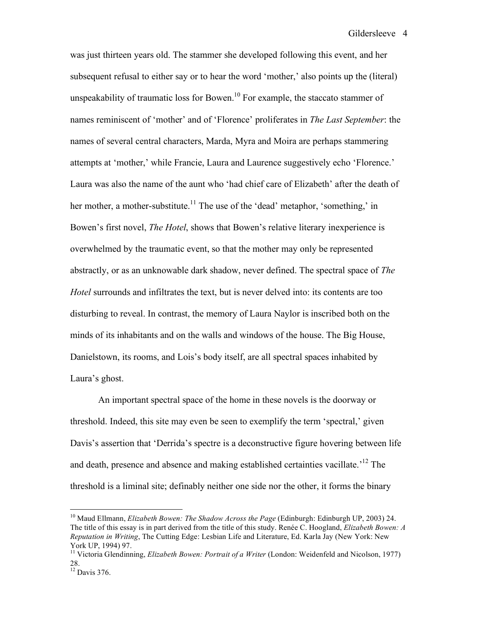was just thirteen years old. The stammer she developed following this event, and her subsequent refusal to either say or to hear the word 'mother,' also points up the (literal) unspeakability of traumatic loss for Bowen.<sup>10</sup> For example, the staccato stammer of names reminiscent of 'mother' and of 'Florence' proliferates in *The Last September*: the names of several central characters, Marda, Myra and Moira are perhaps stammering attempts at 'mother,' while Francie, Laura and Laurence suggestively echo 'Florence.' Laura was also the name of the aunt who 'had chief care of Elizabeth' after the death of her mother, a mother-substitute.<sup>11</sup> The use of the 'dead' metaphor, 'something,' in Bowen's first novel, *The Hotel*, shows that Bowen's relative literary inexperience is overwhelmed by the traumatic event, so that the mother may only be represented abstractly, or as an unknowable dark shadow, never defined. The spectral space of *The Hotel* surrounds and infiltrates the text, but is never delved into: its contents are too disturbing to reveal. In contrast, the memory of Laura Naylor is inscribed both on the minds of its inhabitants and on the walls and windows of the house. The Big House, Danielstown, its rooms, and Lois's body itself, are all spectral spaces inhabited by Laura's ghost.

An important spectral space of the home in these novels is the doorway or threshold. Indeed, this site may even be seen to exemplify the term 'spectral,' given Davis's assertion that 'Derrida's spectre is a deconstructive figure hovering between life and death, presence and absence and making established certainties vacillate.<sup>12</sup> The threshold is a liminal site; definably neither one side nor the other, it forms the binary

 <sup>10</sup> Maud Ellmann, *Elizabeth Bowen: The Shadow Across the Page* (Edinburgh: Edinburgh UP, 2003) 24. The title of this essay is in part derived from the title of this study. Renée C. Hoogland, *Elizabeth Bowen: A Reputation in Writing*, The Cutting Edge: Lesbian Life and Literature, Ed. Karla Jay (New York: New York UP, 1994) 97. <sup>11</sup> Victoria Glendinning, *Elizabeth Bowen: Portrait of <sup>a</sup> Writer* (London: Weidenfeld and Nicolson, 1977)

<sup>28.</sup>  $12$  Davis 376.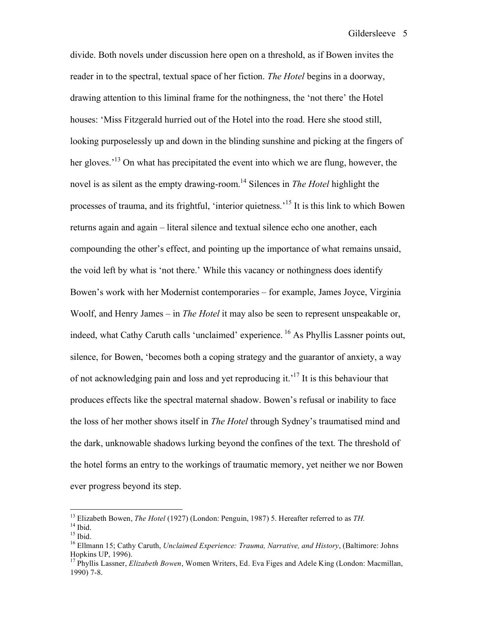divide. Both novels under discussion here open on a threshold, as if Bowen invites the reader in to the spectral, textual space of her fiction. *The Hotel* begins in a doorway, drawing attention to this liminal frame for the nothingness, the 'not there' the Hotel houses: 'Miss Fitzgerald hurried out of the Hotel into the road. Here she stood still, looking purposelessly up and down in the blinding sunshine and picking at the fingers of her gloves.<sup>13</sup> On what has precipitated the event into which we are flung, however, the novel is as silent as the empty drawing-room. <sup>14</sup> Silences in *The Hotel* highlight the processes of trauma, and its frightful, 'interior quietness.<sup>15</sup> It is this link to which Bowen returns again and again – literal silence and textual silence echo one another, each compounding the other's effect, and pointing up the importance of what remains unsaid, the void left by what is 'not there.' While this vacancy or nothingness does identify Bowen's work with her Modernist contemporaries – for example, James Joyce, Virginia Woolf, and Henry James – in *The Hotel* it may also be seen to represent unspeakable or, indeed, what Cathy Caruth calls 'unclaimed' experience. <sup>16</sup> As Phyllis Lassner points out, silence, for Bowen, 'becomes both a coping strategy and the guarantor of anxiety, a way of not acknowledging pain and loss and yet reproducing it.<sup>17</sup> It is this behaviour that produces effects like the spectral maternal shadow. Bowen's refusal or inability to face the loss of her mother shows itself in *The Hotel* through Sydney's traumatised mind and the dark, unknowable shadows lurking beyond the confines of the text. The threshold of the hotel forms an entry to the workings of traumatic memory, yet neither we nor Bowen ever progress beyond its step.

<sup>&</sup>lt;sup>13</sup> Elizabeth Bowen, *The Hotel* (1927) (London: Penguin, 1987) 5. Hereafter referred to as *TH*.<br><sup>14</sup> Ibid.<br><sup>15</sup> Ibid.<br><sup>15</sup> Ellmann 15; Cathy Caruth, *Unclaimed Experience: Trauma, Narrative, and History*, (Baltimore: J

Hopkins UP, 1996).<br><sup>17</sup> Phyllis Lassner, *Elizabeth Bowen*, Women Writers, Ed. Eva Figes and Adele King (London: Macmillan,

<sup>1990)</sup> 7-8.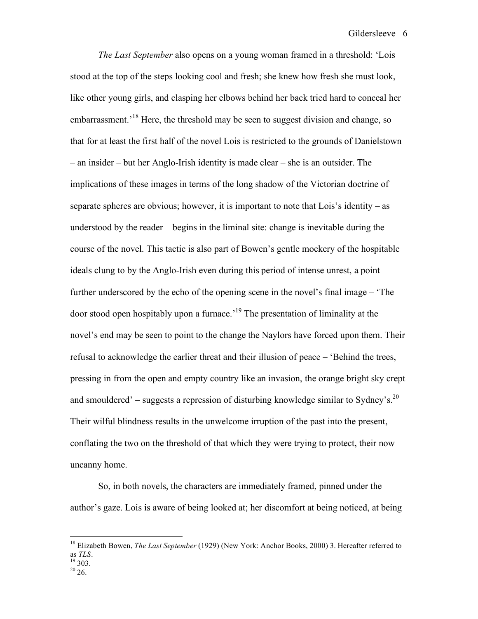*The Last September* also opens on a young woman framed in a threshold: 'Lois stood at the top of the steps looking cool and fresh; she knew how fresh she must look, like other young girls, and clasping her elbows behind her back tried hard to conceal her embarrassment.<sup>18</sup> Here, the threshold may be seen to suggest division and change, so that for at least the first half of the novel Lois is restricted to the grounds of Danielstown – an insider – but her Anglo-Irish identity is made clear – she is an outsider. The implications of these images in terms of the long shadow of the Victorian doctrine of separate spheres are obvious; however, it is important to note that Lois's identity – as understood by the reader – begins in the liminal site: change is inevitable during the course of the novel. This tactic is also part of Bowen's gentle mockery of the hospitable ideals clung to by the Anglo-Irish even during this period of intense unrest, a point further underscored by the echo of the opening scene in the novel's final image – 'The door stood open hospitably upon a furnace.' <sup>19</sup> The presentation of liminality at the novel's end may be seen to point to the change the Naylors have forced upon them. Their refusal to acknowledge the earlier threat and their illusion of peace – 'Behind the trees, pressing in from the open and empty country like an invasion, the orange bright sky crept and smouldered' – suggests a repression of disturbing knowledge similar to Sydney's.<sup>20</sup> Their wilful blindness results in the unwelcome irruption of the past into the present, conflating the two on the threshold of that which they were trying to protect, their now uncanny home.

So, in both novels, the characters are immediately framed, pinned under the author's gaze. Lois is aware of being looked at; her discomfort at being noticed, at being

 <sup>18</sup> Elizabeth Bowen, *The Last September* (1929) (New York: Anchor Books, 2000) 3. Hereafter referred to as *TLS*.<br><sup>19</sup> 303.<br><sup>20</sup> 26.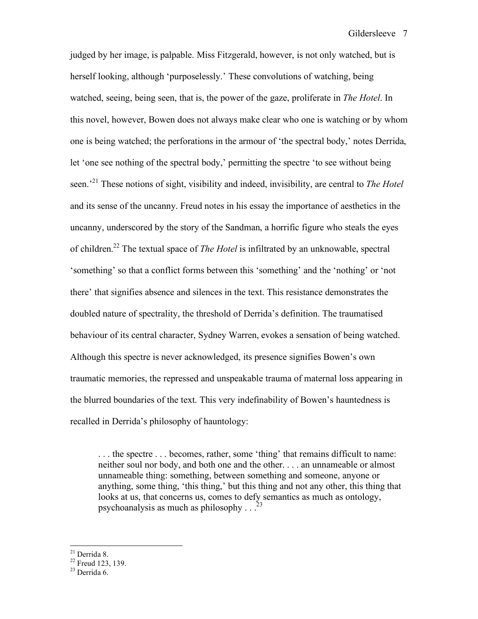judged by her image, is palpable. Miss Fitzgerald, however, is not only watched, but is herself looking, although 'purposelessly.' These convolutions of watching, being watched, seeing, being seen, that is, the power of the gaze, proliferate in *The Hotel*. In this novel, however, Bowen does not always make clear who one is watching or by whom one is being watched; the perforations in the armour of 'the spectral body,' notes Derrida, let 'one see nothing of the spectral body,' permitting the spectre 'to see without being seen.' <sup>21</sup> These notions of sight, visibility and indeed, invisibility, are central to *The Hotel* and its sense of the uncanny. Freud notes in his essay the importance of aesthetics in the uncanny, underscored by the story of the Sandman, a horrific figure who steals the eyes of children. <sup>22</sup> The textual space of *The Hotel* is infiltrated by an unknowable, spectral 'something' so that a conflict forms between this 'something' and the 'nothing' or 'not there' that signifies absence and silences in the text. This resistance demonstrates the doubled nature of spectrality, the threshold of Derrida's definition. The traumatised behaviour of its central character, Sydney Warren, evokes a sensation of being watched. Although this spectre is never acknowledged, its presence signifies Bowen's own traumatic memories, the repressed and unspeakable trauma of maternal loss appearing in the blurred boundaries of the text. This very indefinability of Bowen's hauntedness is recalled in Derrida's philosophy of hauntology:

. . . the spectre . . . becomes, rather, some 'thing' that remains difficult to name: neither soul nor body, and both one and the other. . . . an unnameable or almost unnameable thing: something, between something and someone, anyone or anything, some thing, 'this thing,' but this thing and not any other, this thing that looks at us, that concerns us, comes to defy semantics as much as ontology, psychoanalysis as much as philosophy  $\ldots$ <sup>23</sup>

<sup>&</sup>lt;sup>21</sup> Derrida 8.<br><sup>22</sup> Freud 123, 139.<br><sup>23</sup> Derrida 6.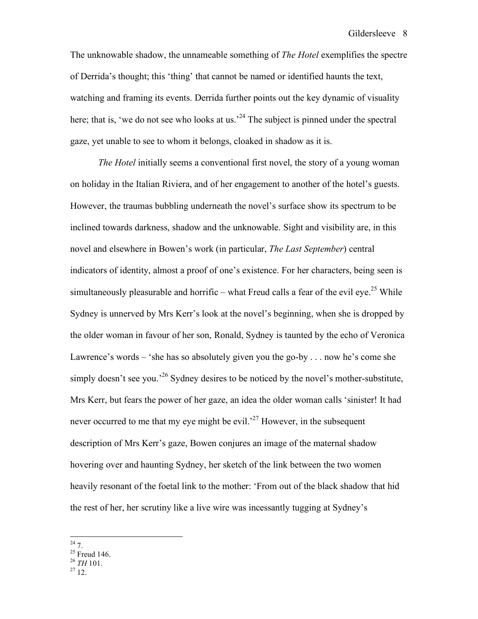The unknowable shadow, the unnameable something of *The Hotel* exemplifies the spectre of Derrida's thought; this 'thing' that cannot be named or identified haunts the text, watching and framing its events. Derrida further points out the key dynamic of visuality here; that is, 'we do not see who looks at us.<sup>24</sup> The subject is pinned under the spectral gaze, yet unable to see to whom it belongs, cloaked in shadow as it is.

*The Hotel* initially seems a conventional first novel, the story of a young woman on holiday in the Italian Riviera, and of her engagement to another of the hotel's guests. However, the traumas bubbling underneath the novel's surface show its spectrum to be inclined towards darkness, shadow and the unknowable. Sight and visibility are, in this novel and elsewhere in Bowen's work (in particular, *The Last September*) central indicators of identity, almost a proof of one's existence. For her characters, being seen is simultaneously pleasurable and horrific – what Freud calls a fear of the evil eye.<sup>25</sup> While Sydney is unnerved by Mrs Kerr's look at the novel's beginning, when she is dropped by the older woman in favour of her son, Ronald, Sydney is taunted by the echo of Veronica Lawrence's words – 'she has so absolutely given you the go-by . . . now he's come she simply doesn't see you.<sup>26</sup> Sydney desires to be noticed by the novel's mother-substitute, Mrs Kerr, but fears the power of her gaze, an idea the older woman calls 'sinister! It had never occurred to me that my eye might be evil.<sup>27</sup> However, in the subsequent description of Mrs Kerr's gaze, Bowen conjures an image of the maternal shadow hovering over and haunting Sydney, her sketch of the link between the two women heavily resonant of the foetal link to the mother: 'From out of the black shadow that hid the rest of her, her scrutiny like a live wire was incessantly tugging at Sydney's

- 
- <sup>24</sup> 7.<br><sup>25</sup> Freud 146.<br><sup>26</sup> *TH* 101.<br><sup>27</sup> 12.
-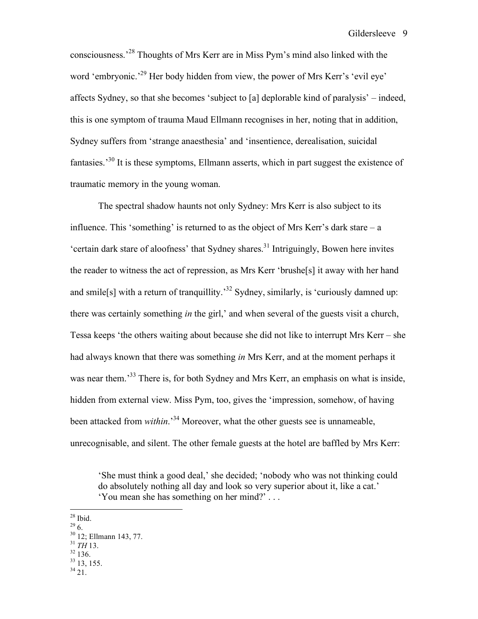consciousness.' <sup>28</sup> Thoughts of Mrs Kerr are in Miss Pym's mind also linked with the word 'embryonic.<sup>29</sup> Her body hidden from view, the power of Mrs Kerr's 'evil eye' affects Sydney, so that she becomes 'subject to [a] deplorable kind of paralysis' – indeed, this is one symptom of trauma Maud Ellmann recognises in her, noting that in addition, Sydney suffers from 'strange anaesthesia' and 'insentience, derealisation, suicidal fantasies.<sup>30</sup> It is these symptoms, Ellmann asserts, which in part suggest the existence of traumatic memory in the young woman.

The spectral shadow haunts not only Sydney: Mrs Kerr is also subject to its influence. This 'something' is returned to as the object of Mrs Kerr's dark stare  $-a$ 'certain dark stare of aloofness' that Sydney shares. <sup>31</sup> Intriguingly, Bowen here invites the reader to witness the act of repression, as Mrs Kerr 'brushe[s] it away with her hand and smile<sup>[s]</sup> with a return of tranquillity.<sup>32</sup> Sydney, similarly, is 'curiously damned up: there was certainly something *in* the girl,' and when several of the guests visit a church, Tessa keeps 'the others waiting about because she did not like to interrupt Mrs Kerr – she had always known that there was something *in* Mrs Kerr, and at the moment perhaps it was near them.<sup>33</sup> There is, for both Sydney and Mrs Kerr, an emphasis on what is inside, hidden from external view. Miss Pym, too, gives the 'impression, somehow, of having been attacked from *within*.' <sup>34</sup> Moreover, what the other guests see is unnameable, unrecognisable, and silent. The other female guests at the hotel are baffled by Mrs Kerr:

- 
- 
- 
- 

<sup>&#</sup>x27;She must think a good deal,' she decided; 'nobody who was not thinking could do absolutely nothing all day and look so very superior about it, like a cat.' 'You mean she has something on her mind?' . . .

<sup>&</sup>lt;sup>28</sup> Ibid.<br><sup>29</sup> 6.<br><sup>30</sup> 12; Ellmann 143, 77.<br><sup>31</sup> *TH* 13.<br><sup>32</sup> 136.<br><sup>33</sup> 13, 155.<br><sup>34</sup> 21.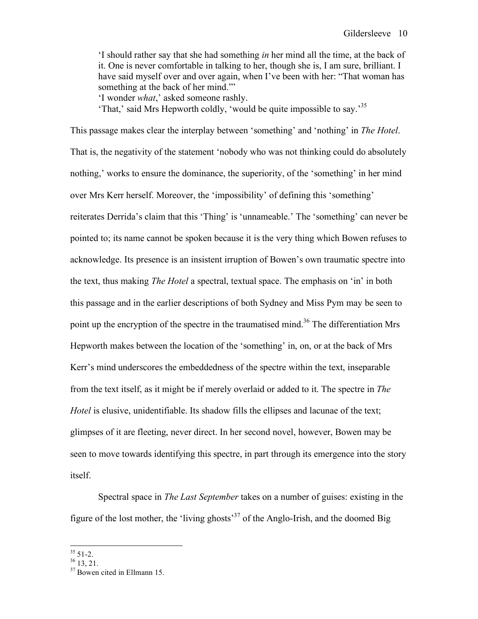'I should rather say that she had something *in* her mind all the time, at the back of it. One is never comfortable in talking to her, though she is, I am sure, brilliant. I have said myself over and over again, when I've been with her: "That woman has something at the back of her mind."'

'I wonder *what*,' asked someone rashly.

'That,' said Mrs Hepworth coldly, 'would be quite impossible to say.' 35

This passage makes clear the interplay between 'something' and 'nothing' in *The Hotel*. That is, the negativity of the statement 'nobody who was not thinking could do absolutely nothing,' works to ensure the dominance, the superiority, of the 'something' in her mind over Mrs Kerr herself. Moreover, the 'impossibility' of defining this 'something' reiterates Derrida's claim that this 'Thing' is 'unnameable.' The 'something' can never be pointed to; its name cannot be spoken because it is the very thing which Bowen refuses to acknowledge. Its presence is an insistent irruption of Bowen's own traumatic spectre into the text, thus making *The Hotel* a spectral, textual space. The emphasis on 'in' in both this passage and in the earlier descriptions of both Sydney and Miss Pym may be seen to point up the encryption of the spectre in the traumatised mind.<sup>36</sup> The differentiation Mrs Hepworth makes between the location of the 'something' in, on, or at the back of Mrs Kerr's mind underscores the embeddedness of the spectre within the text, inseparable from the text itself, as it might be if merely overlaid or added to it. The spectre in *The Hotel* is elusive, unidentifiable. Its shadow fills the ellipses and lacunae of the text; glimpses of it are fleeting, never direct. In her second novel, however, Bowen may be seen to move towards identifying this spectre, in part through its emergence into the story itself.

Spectral space in *The Last September* takes on a number of guises: existing in the figure of the lost mother, the 'living ghosts' <sup>37</sup> of the Anglo-Irish, and the doomed Big

 $^{35}$  51-2.<br> $^{36}$  13, 21.<br> $^{37}$  Bowen cited in Ellmann 15.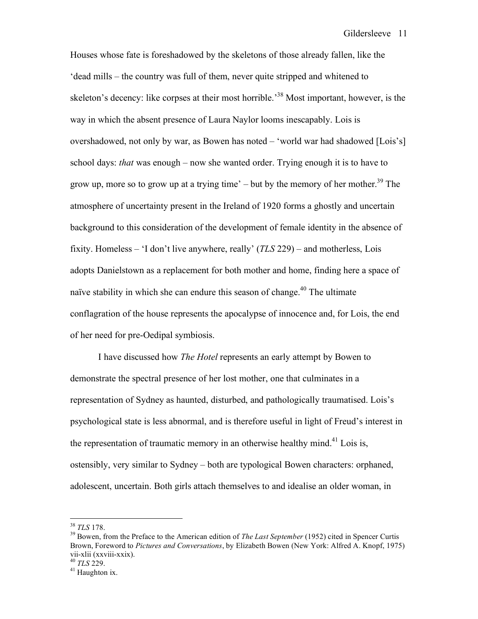Houses whose fate is foreshadowed by the skeletons of those already fallen, like the 'dead mills – the country was full of them, never quite stripped and whitened to skeleton's decency: like corpses at their most horrible.<sup>38</sup> Most important, however, is the way in which the absent presence of Laura Naylor looms inescapably. Lois is overshadowed, not only by war, as Bowen has noted – 'world war had shadowed [Lois's] school days: *that* was enough – now she wanted order. Trying enough it is to have to grow up, more so to grow up at a trying time'  $-$  but by the memory of her mother.<sup>39</sup> The atmosphere of uncertainty present in the Ireland of 1920 forms a ghostly and uncertain background to this consideration of the development of female identity in the absence of fixity. Homeless – 'I don't live anywhere, really' (*TLS* 229) – and motherless, Lois adopts Danielstown as a replacement for both mother and home, finding here a space of naïve stability in which she can endure this season of change.<sup>40</sup> The ultimate conflagration of the house represents the apocalypse of innocence and, for Lois, the end of her need for pre-Oedipal symbiosis.

I have discussed how *The Hotel* represents an early attempt by Bowen to demonstrate the spectral presence of her lost mother, one that culminates in a representation of Sydney as haunted, disturbed, and pathologically traumatised. Lois's psychological state is less abnormal, and is therefore useful in light of Freud's interest in the representation of traumatic memory in an otherwise healthy mind.<sup>41</sup> Lois is, ostensibly, very similar to Sydney – both are typological Bowen characters: orphaned, adolescent, uncertain. Both girls attach themselves to and idealise an older woman, in

<sup>38</sup> *TLS* 178. <sup>39</sup> Bowen, from the Preface to the American edition of *The Last September* (1952) cited in Spencer Curtis Brown, Foreword to *Pictures and Conversations*, by Elizabeth Bowen (New York: Alfred A. Knopf, 1975) vii-xlii (xxviii-xxix). <sup>40</sup> *TLS* 229. <sup>41</sup> Haughton ix.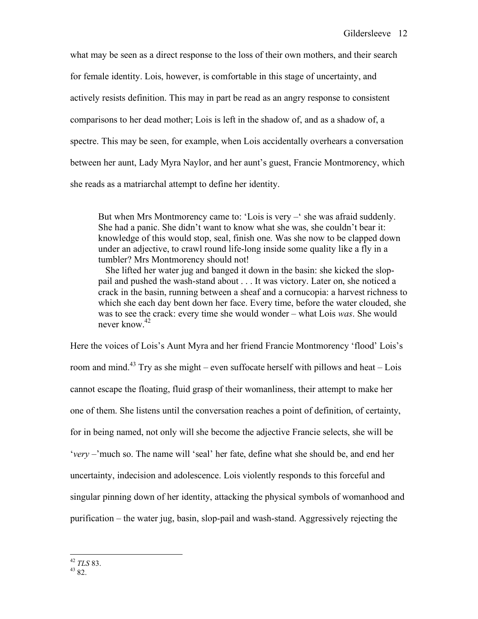what may be seen as a direct response to the loss of their own mothers, and their search for female identity. Lois, however, is comfortable in this stage of uncertainty, and actively resists definition. This may in part be read as an angry response to consistent comparisons to her dead mother; Lois is left in the shadow of, and as a shadow of, a spectre. This may be seen, for example, when Lois accidentally overhears a conversation between her aunt, Lady Myra Naylor, and her aunt's guest, Francie Montmorency, which she reads as a matriarchal attempt to define her identity.

But when Mrs Montmorency came to: 'Lois is very –' she was afraid suddenly. She had a panic. She didn't want to know what she was, she couldn't bear it: knowledge of this would stop, seal, finish one. Was she now to be clapped down under an adjective, to crawl round life-long inside some quality like a fly in a tumbler? Mrs Montmorency should not!

She lifted her water jug and banged it down in the basin: she kicked the sloppail and pushed the wash-stand about . . . It was victory. Later on, she noticed a crack in the basin, running between a sheaf and a cornucopia: a harvest richness to which she each day bent down her face. Every time, before the water clouded, she was to see the crack: every time she would wonder – what Lois *was*. She would never know. 42

Here the voices of Lois's Aunt Myra and her friend Francie Montmorency 'flood' Lois's room and mind.<sup>43</sup> Try as she might – even suffocate herself with pillows and heat – Lois cannot escape the floating, fluid grasp of their womanliness, their attempt to make her one of them. She listens until the conversation reaches a point of definition, of certainty, for in being named, not only will she become the adjective Francie selects, she will be '*very* –'much so. The name will 'seal' her fate, define what she should be, and end her uncertainty, indecision and adolescence. Lois violently responds to this forceful and singular pinning down of her identity, attacking the physical symbols of womanhood and purification – the water jug, basin, slop-pail and wash-stand. Aggressively rejecting the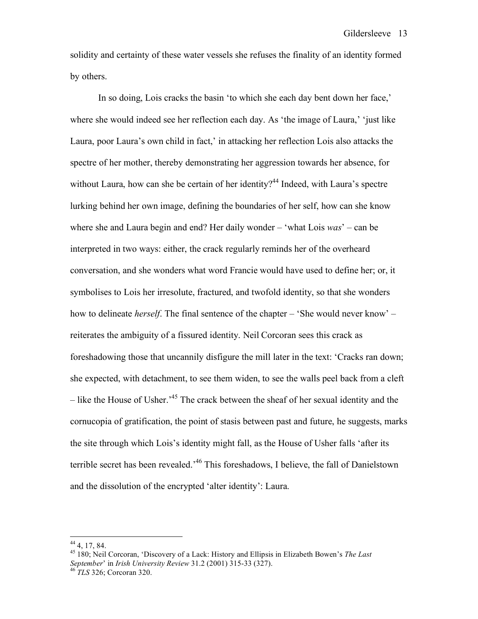solidity and certainty of these water vessels she refuses the finality of an identity formed by others.

In so doing, Lois cracks the basin 'to which she each day bent down her face,' where she would indeed see her reflection each day. As 'the image of Laura,' 'just like Laura, poor Laura's own child in fact,' in attacking her reflection Lois also attacks the spectre of her mother, thereby demonstrating her aggression towards her absence, for without Laura, how can she be certain of her identity?<sup>44</sup> Indeed, with Laura's spectre lurking behind her own image, defining the boundaries of her self, how can she know where she and Laura begin and end? Her daily wonder – 'what Lois *was*' – can be interpreted in two ways: either, the crack regularly reminds her of the overheard conversation, and she wonders what word Francie would have used to define her; or, it symbolises to Lois her irresolute, fractured, and twofold identity, so that she wonders how to delineate *herself*. The final sentence of the chapter – 'She would never know' – reiterates the ambiguity of a fissured identity. Neil Corcoran sees this crack as foreshadowing those that uncannily disfigure the mill later in the text: 'Cracks ran down; she expected, with detachment, to see them widen, to see the walls peel back from a cleft – like the House of Usher.<sup>45</sup> The crack between the sheaf of her sexual identity and the cornucopia of gratification, the point of stasis between past and future, he suggests, marks the site through which Lois's identity might fall, as the House of Usher falls 'after its terrible secret has been revealed.<sup>46</sup> This foreshadows, I believe, the fall of Danielstown and the dissolution of the encrypted 'alter identity': Laura.

<sup>44</sup> 4, 17, 84. <sup>45</sup> 180; Neil Corcoran, 'Discovery of <sup>a</sup> Lack: History and Ellipsis in Elizabeth Bowen's *The Last September*' in *Irish University Review* 31.2 (2001) 315-33 (327). <sup>46</sup> *TLS* 326; Corcoran 320.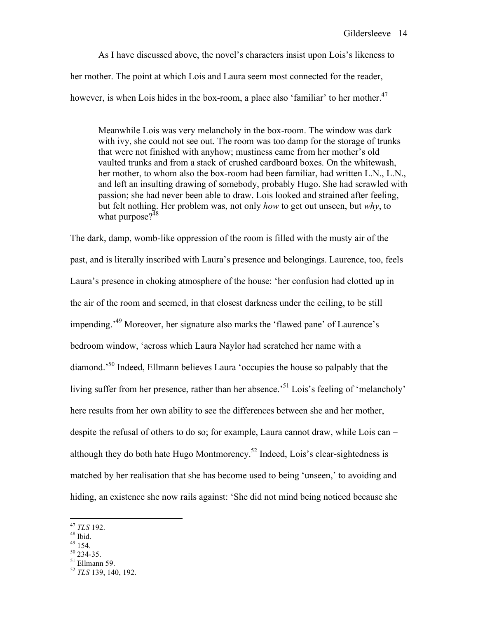As I have discussed above, the novel's characters insist upon Lois's likeness to her mother. The point at which Lois and Laura seem most connected for the reader, however, is when Lois hides in the box-room, a place also 'familiar' to her mother.<sup>47</sup>

Meanwhile Lois was very melancholy in the box-room. The window was dark with ivy, she could not see out. The room was too damp for the storage of trunks that were not finished with anyhow; mustiness came from her mother's old vaulted trunks and from a stack of crushed cardboard boxes. On the whitewash, her mother, to whom also the box-room had been familiar, had written L.N., L.N., and left an insulting drawing of somebody, probably Hugo. She had scrawled with passion; she had never been able to draw. Lois looked and strained after feeling, but felt nothing. Her problem was, not only *how* to get out unseen, but *why*, to what purpose?<sup>48</sup>

The dark, damp, womb-like oppression of the room is filled with the musty air of the past, and is literally inscribed with Laura's presence and belongings. Laurence, too, feels Laura's presence in choking atmosphere of the house: 'her confusion had clotted up in the air of the room and seemed, in that closest darkness under the ceiling, to be still impending.<sup>49</sup> Moreover, her signature also marks the 'flawed pane' of Laurence's bedroom window, 'across which Laura Naylor had scratched her name with a diamond.' <sup>50</sup> Indeed, Ellmann believes Laura 'occupies the house so palpably that the living suffer from her presence, rather than her absence.<sup>51</sup> Lois's feeling of 'melancholy' here results from her own ability to see the differences between she and her mother, despite the refusal of others to do so; for example, Laura cannot draw, while Lois can – although they do both hate Hugo Montmorency.<sup>52</sup> Indeed, Lois's clear-sightedness is matched by her realisation that she has become used to being 'unseen,' to avoiding and hiding, an existence she now rails against: 'She did not mind being noticed because she

- 
- 
- 

<sup>47</sup> *TLS* 192.<br>
<sup>48</sup> Ibid.<br>
<sup>49</sup> 154.<br>
<sup>50</sup> 234-35.<br>
<sup>51</sup> Ellmann 59.<br>
<sup>52</sup> *TLS* 139, 140, 192.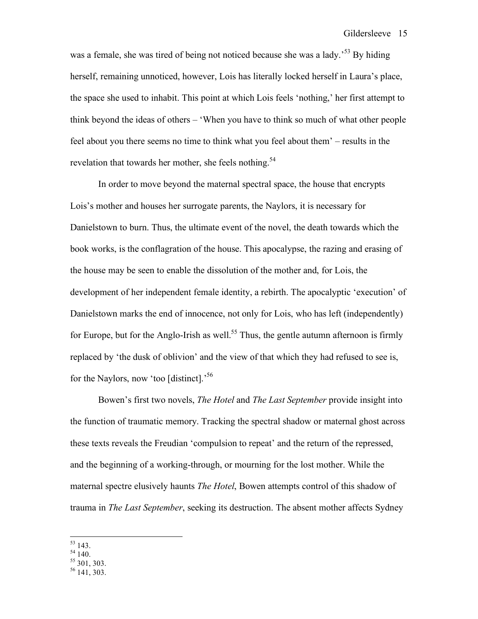was a female, she was tired of being not noticed because she was a lady.<sup>53</sup> By hiding herself, remaining unnoticed, however, Lois has literally locked herself in Laura's place, the space she used to inhabit. This point at which Lois feels 'nothing,' her first attempt to think beyond the ideas of others – 'When you have to think so much of what other people feel about you there seems no time to think what you feel about them' – results in the revelation that towards her mother, she feels nothing.<sup>54</sup>

In order to move beyond the maternal spectral space, the house that encrypts Lois's mother and houses her surrogate parents, the Naylors, it is necessary for Danielstown to burn. Thus, the ultimate event of the novel, the death towards which the book works, is the conflagration of the house. This apocalypse, the razing and erasing of the house may be seen to enable the dissolution of the mother and, for Lois, the development of her independent female identity, a rebirth. The apocalyptic 'execution' of Danielstown marks the end of innocence, not only for Lois, who has left (independently) for Europe, but for the Anglo-Irish as well.<sup>55</sup> Thus, the gentle autumn afternoon is firmly replaced by 'the dusk of oblivion' and the view of that which they had refused to see is, for the Naylors, now 'too [distinct].' 56

Bowen's first two novels, *The Hotel* and *The Last September* provide insight into the function of traumatic memory. Tracking the spectral shadow or maternal ghost across these texts reveals the Freudian 'compulsion to repeat' and the return of the repressed, and the beginning of a working-through, or mourning for the lost mother. While the maternal spectre elusively haunts *The Hotel*, Bowen attempts control of this shadow of trauma in *The Last September*, seeking its destruction. The absent mother affects Sydney

 $\begin{array}{c} 53 \ 54 \ 140. \ 55 \ 301, 303. \ 56 \ 141, 303. \end{array}$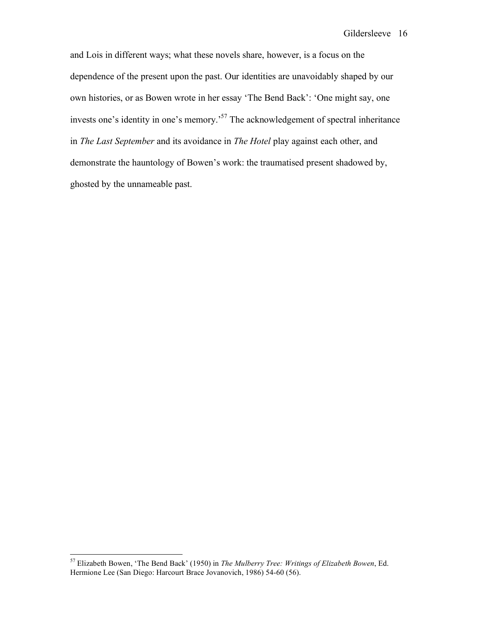and Lois in different ways; what these novels share, however, is a focus on the dependence of the present upon the past. Our identities are unavoidably shaped by our own histories, or as Bowen wrote in her essay 'The Bend Back': 'One might say, one invests one's identity in one's memory.<sup>57</sup> The acknowledgement of spectral inheritance in *The Last September* and its avoidance in *The Hotel* play against each other, and demonstrate the hauntology of Bowen's work: the traumatised present shadowed by, ghosted by the unnameable past.

 <sup>57</sup> Elizabeth Bowen, 'The Bend Back' (1950) in *The Mulberry Tree: Writings of Elizabeth Bowen*, Ed. Hermione Lee (San Diego: Harcourt Brace Jovanovich, 1986) 54-60 (56).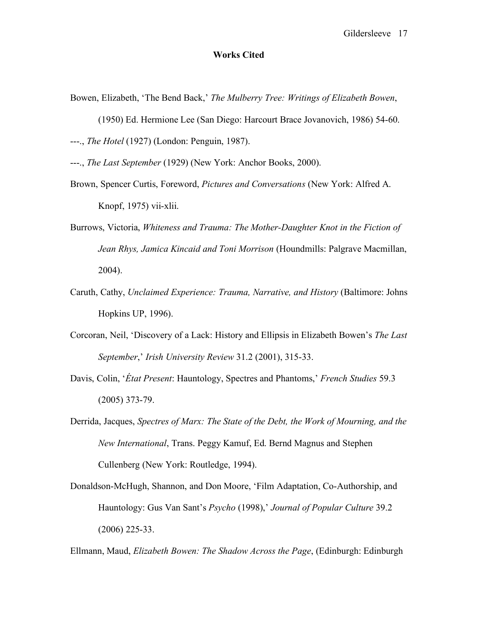## **Works Cited**

- Bowen, Elizabeth, 'The Bend Back,' *The Mulberry Tree: Writings of Elizabeth Bowen*,
- (1950) Ed. Hermione Lee (San Diego: Harcourt Brace Jovanovich, 1986) 54-60. ---., *The Hotel* (1927) (London: Penguin, 1987).
- ---., *The Last September* (1929) (New York: Anchor Books, 2000).
- Brown, Spencer Curtis, Foreword, *Pictures and Conversations* (New York: Alfred A. Knopf, 1975) vii-xlii.
- Burrows, Victoria, *Whiteness and Trauma: The Mother-Daughter Knot in the Fiction of Jean Rhys, Jamica Kincaid and Toni Morrison* (Houndmills: Palgrave Macmillan, 2004).
- Caruth, Cathy, *Unclaimed Experience: Trauma, Narrative, and History* (Baltimore: Johns Hopkins UP, 1996).
- Corcoran, Neil, 'Discovery of a Lack: History and Ellipsis in Elizabeth Bowen's *The Last September*,' *Irish University Review* 31.2 (2001), 315-33.
- Davis, Colin, '*État Present*: Hauntology, Spectres and Phantoms,' *French Studies* 59.3 (2005) 373-79.
- Derrida, Jacques, *Spectres of Marx: The State of the Debt, the Work of Mourning, and the New International*, Trans. Peggy Kamuf, Ed. Bernd Magnus and Stephen Cullenberg (New York: Routledge, 1994).
- Donaldson-McHugh, Shannon, and Don Moore, 'Film Adaptation, Co-Authorship, and Hauntology: Gus Van Sant's *Psycho* (1998),' *Journal of Popular Culture* 39.2 (2006) 225-33.

Ellmann, Maud, *Elizabeth Bowen: The Shadow Across the Page*, (Edinburgh: Edinburgh